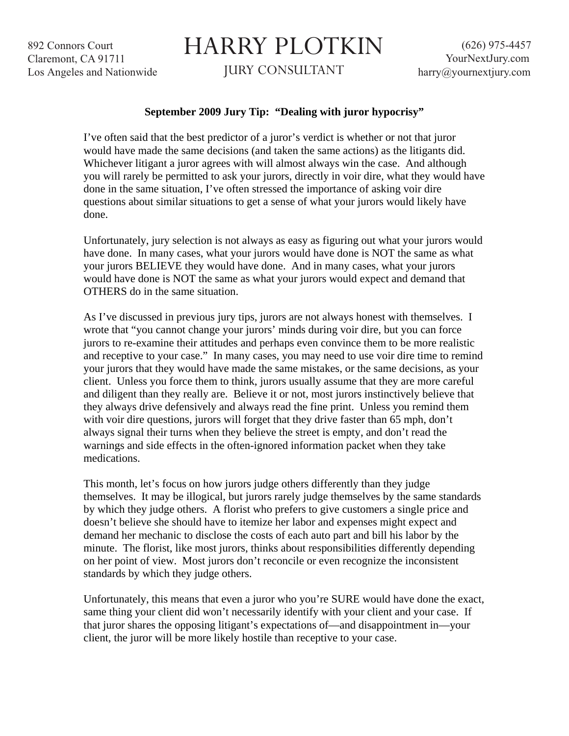892 Connors Court Claremont, CA 91711 Los Angeles and Nationwide

## HARRY PLOTKIN

JURY CONSULTANT

## **September 2009 Jury Tip: "Dealing with juror hypocrisy"**

I've often said that the best predictor of a juror's verdict is whether or not that juror would have made the same decisions (and taken the same actions) as the litigants did. Whichever litigant a juror agrees with will almost always win the case. And although you will rarely be permitted to ask your jurors, directly in voir dire, what they would have done in the same situation, I've often stressed the importance of asking voir dire questions about similar situations to get a sense of what your jurors would likely have done.

Unfortunately, jury selection is not always as easy as figuring out what your jurors would have done. In many cases, what your jurors would have done is NOT the same as what your jurors BELIEVE they would have done. And in many cases, what your jurors would have done is NOT the same as what your jurors would expect and demand that OTHERS do in the same situation.

As I've discussed in previous jury tips, jurors are not always honest with themselves. I wrote that "you cannot change your jurors' minds during voir dire, but you can force jurors to re-examine their attitudes and perhaps even convince them to be more realistic and receptive to your case." In many cases, you may need to use voir dire time to remind your jurors that they would have made the same mistakes, or the same decisions, as your client. Unless you force them to think, jurors usually assume that they are more careful and diligent than they really are. Believe it or not, most jurors instinctively believe that they always drive defensively and always read the fine print. Unless you remind them with voir dire questions, jurors will forget that they drive faster than 65 mph, don't always signal their turns when they believe the street is empty, and don't read the warnings and side effects in the often-ignored information packet when they take medications.

This month, let's focus on how jurors judge others differently than they judge themselves. It may be illogical, but jurors rarely judge themselves by the same standards by which they judge others. A florist who prefers to give customers a single price and doesn't believe she should have to itemize her labor and expenses might expect and demand her mechanic to disclose the costs of each auto part and bill his labor by the minute. The florist, like most jurors, thinks about responsibilities differently depending on her point of view. Most jurors don't reconcile or even recognize the inconsistent standards by which they judge others.

Unfortunately, this means that even a juror who you're SURE would have done the exact, same thing your client did won't necessarily identify with your client and your case. If that juror shares the opposing litigant's expectations of—and disappointment in—your client, the juror will be more likely hostile than receptive to your case.